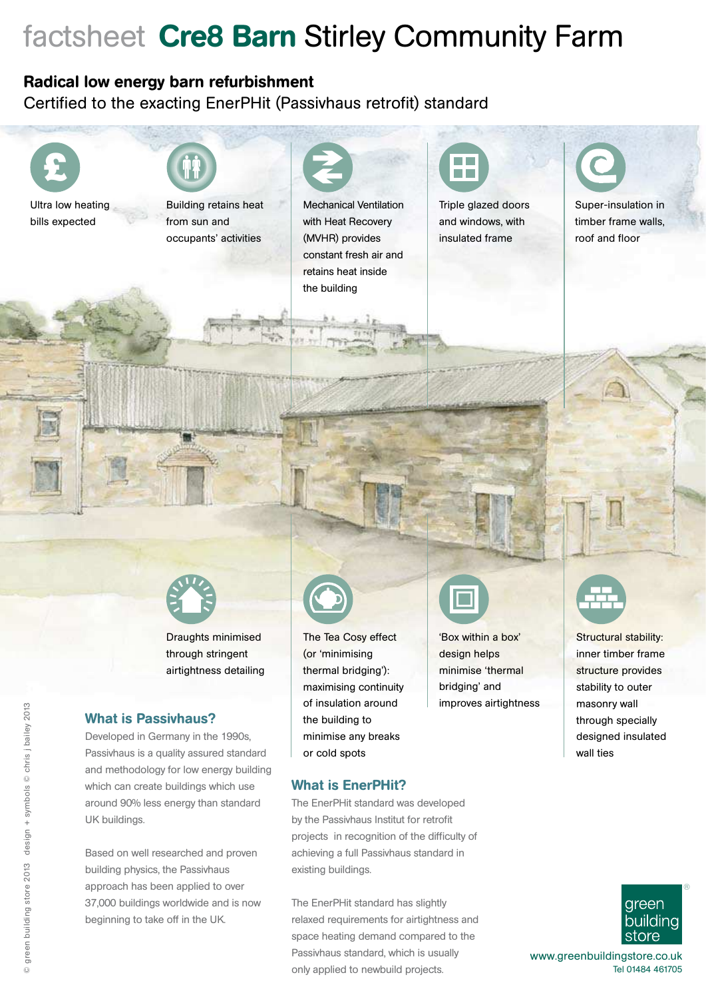# factsheet Cre8 Barn Stirley Community Farm

### Radical low energy barn refurbishment

Certified to the exacting EnerPHit (Passivhaus retrofit) standard





Draughts minimised through stringent airtightness detailing

#### What is Passivhaus?

Developed in Germany in the 1990s, Passivhaus is a quality assured standard and methodology for low energy building which can create buildings which use around 90% less energy than standard UK buildings.

Based on well researched and proven building physics, the Passivhaus approach has been applied to over 37,000 buildings worldwide and is now beginning to take off in the UK.



The Tea Cosy effect (or 'minimising thermal bridging'): maximising continuity of insulation around the building to minimise any breaks or cold spots

#### What is EnerPHit?

The EnerPHit standard was developed by the Passivhaus Institut for retrofit projects in recognition of the difficulty of achieving a full Passivhaus standard in existing buildings.

The EnerPHit standard has slightly relaxed requirements for airtightness and space heating demand compared to the Passivhaus standard, which is usually only applied to newbuild projects.



m e

'Box within a box' design helps minimise 'thermal bridging' and improves airtightness



Super-insulation in timber frame walls, roof and floor



Structural stability: inner timber frame structure provides stability to outer masonry wall through specially designed insulated wall ties



www.greenbuildingstore.co.uk Tel 01484 461705